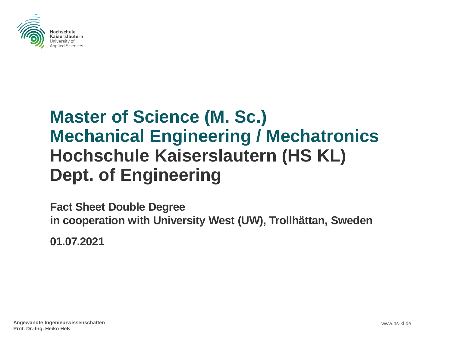

## **Master of Science (M. Sc.) Mechanical Engineering / Mechatronics Hochschule Kaiserslautern (HS KL) Dept. of Engineering**

**Fact Sheet Double Degree in cooperation with University West (UW), Trollhättan, Sweden**

**01.07.2021**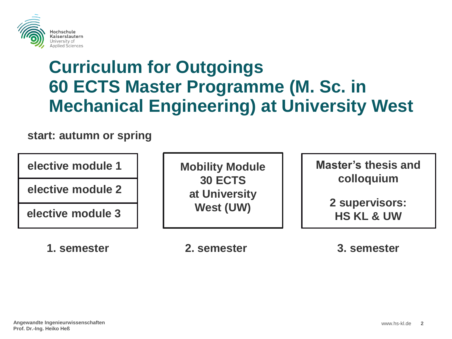

# **Curriculum for Outgoings 60 ECTS Master Programme (M. Sc. in Mechanical Engineering) at University West**

#### **start: autumn or spring**

**elective module 1**

**elective module 2**

**elective module 3**

**1. semester 2. semester 3. semester**

**Mobility Module 30 ECTS at University West (UW)**

**Master's thesis and colloquium**

**HS KL & UW 2 supervisors:**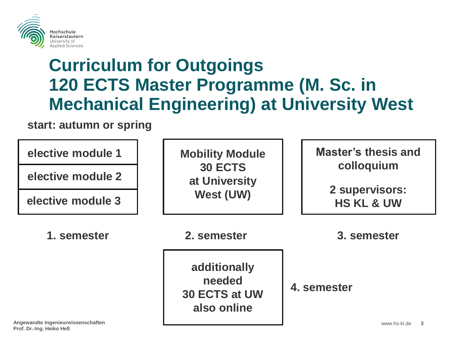

# **Curriculum for Outgoings 120 ECTS Master Programme (M. Sc. in Mechanical Engineering) at University West**

#### **start: autumn or spring**

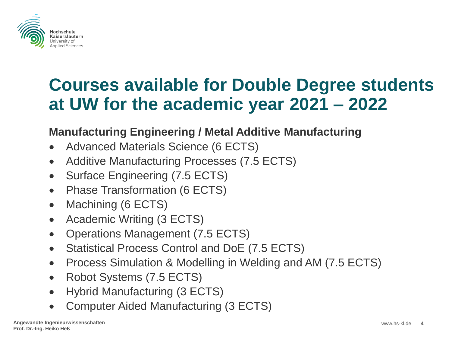

### **Manufacturing Engineering / Metal Additive Manufacturing**

- Advanced Materials Science (6 ECTS)
- Additive Manufacturing Processes (7.5 ECTS)
- Surface Engineering (7.5 ECTS)
- Phase Transformation (6 ECTS)
- Machining (6 ECTS)
- Academic Writing (3 ECTS)
- Operations Management (7.5 ECTS)
- Statistical Process Control and DoE (7.5 ECTS)
- Process Simulation & Modelling in Welding and AM (7.5 ECTS)
- Robot Systems (7.5 ECTS)
- Hybrid Manufacturing (3 ECTS)
- Computer Aided Manufacturing (3 ECTS)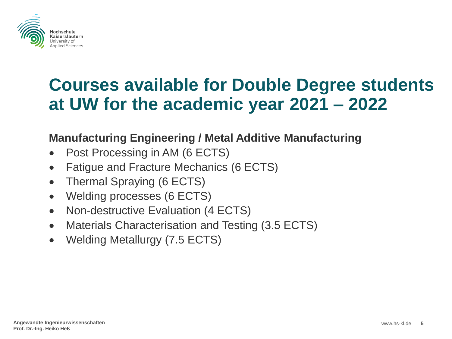

### **Manufacturing Engineering / Metal Additive Manufacturing**

- Post Processing in AM (6 ECTS)
- Fatigue and Fracture Mechanics (6 ECTS)
- Thermal Spraying (6 ECTS)
- Welding processes (6 ECTS)
- Non-destructive Evaluation (4 ECTS)
- Materials Characterisation and Testing (3.5 ECTS)
- Welding Metallurgy (7.5 ECTS)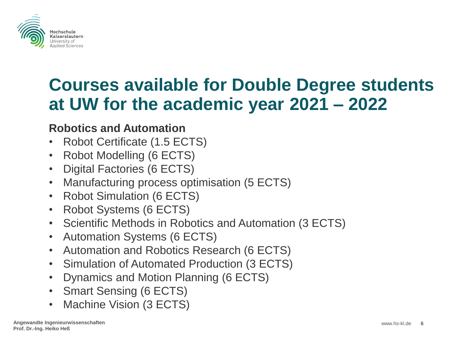

### **Robotics and Automation**

- Robot Certificate (1.5 ECTS)
- Robot Modelling (6 ECTS)
- Digital Factories (6 ECTS)
- Manufacturing process optimisation (5 ECTS)
- Robot Simulation (6 ECTS)
- Robot Systems (6 ECTS)
- Scientific Methods in Robotics and Automation (3 ECTS)
- Automation Systems (6 ECTS)
- Automation and Robotics Research (6 ECTS)
- Simulation of Automated Production (3 ECTS)
- Dynamics and Motion Planning (6 ECTS)
- Smart Sensing (6 ECTS)
- Machine Vision (3 ECTS)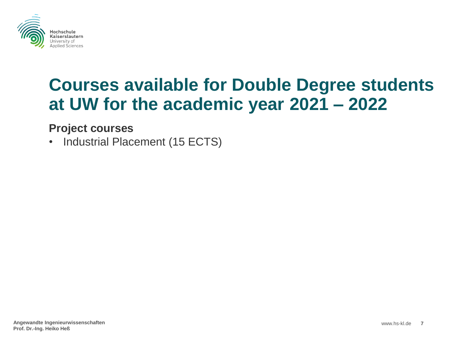

#### **Project courses**

• Industrial Placement (15 ECTS)